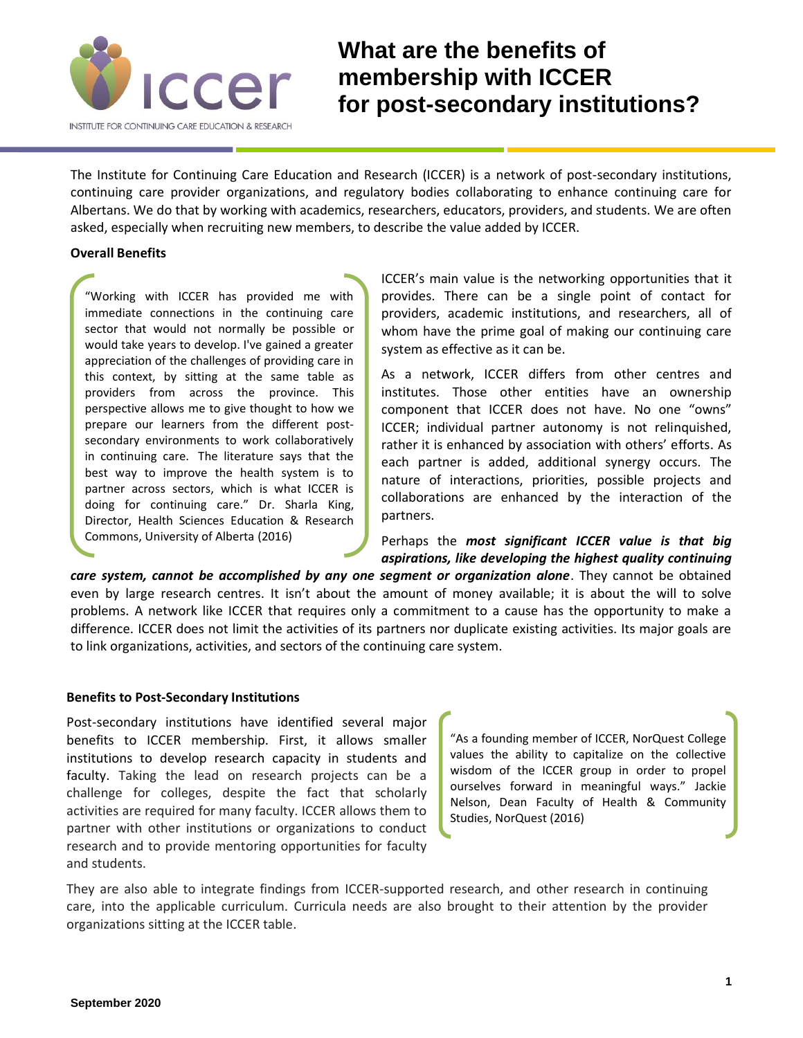

## **What are the benefits of membership with ICCER for post-secondary institutions?**

The Institute for Continuing Care Education and Research (ICCER) is a network of post-secondary institutions, continuing care provider organizations, and regulatory bodies collaborating to enhance continuing care for Albertans. We do that by working with academics, researchers, educators, providers, and students. We are often asked, especially when recruiting new members, to describe the value added by ICCER.

## **Overall Benefits**

"Working with ICCER has provided me with immediate connections in the continuing care sector that would not normally be possible or would take years to develop. I've gained a greater appreciation of the challenges of providing care in this context, by sitting at the same table as providers from across the province. This perspective allows me to give thought to how we prepare our learners from the different postsecondary environments to work collaboratively in continuing care. The literature says that the best way to improve the health system is to partner across sectors, which is what ICCER is doing for continuing care." Dr. Sharla King, Director, Health Sciences Education & Research Commons, University of Alberta (2016)

ICCER's main value is the networking opportunities that it provides. There can be a single point of contact for providers, academic institutions, and researchers, all of whom have the prime goal of making our continuing care system as effective as it can be.

As a network, ICCER differs from other centres and institutes. Those other entities have an ownership component that ICCER does not have. No one "owns" ICCER; individual partner autonomy is not relinquished, rather it is enhanced by association with others' efforts. As each partner is added, additional synergy occurs. The nature of interactions, priorities, possible projects and collaborations are enhanced by the interaction of the partners.

Perhaps the *most significant ICCER value is that big aspirations, like developing the highest quality continuing* 

*care system, cannot be accomplished by any one segment or organization alone*. They cannot be obtained even by large research centres. It isn't about the amount of money available; it is about the will to solve problems. A network like ICCER that requires only a commitment to a cause has the opportunity to make a difference. ICCER does not limit the activities of its partners nor duplicate existing activities. Its major goals are to link organizations, activities, and sectors of the continuing care system.

## **Benefits to Post-Secondary Institutions**

Post-secondary institutions have identified several major benefits to ICCER membership. First, it allows smaller institutions to develop research capacity in students and faculty. Taking the lead on research projects can be a challenge for colleges, despite the fact that scholarly activities are required for many faculty. ICCER allows them to partner with other institutions or organizations to conduct research and to provide mentoring opportunities for faculty and students.

"As a founding member of ICCER, NorQuest College values the ability to capitalize on the collective wisdom of the ICCER group in order to propel ourselves forward in meaningful ways." Jackie Nelson, Dean Faculty of Health & Community Studies, NorQuest (2016)

They are also able to integrate findings from ICCER-supported research, and other research in continuing care, into the applicable curriculum. Curricula needs are also brought to their attention by the provider organizations sitting at the ICCER table.